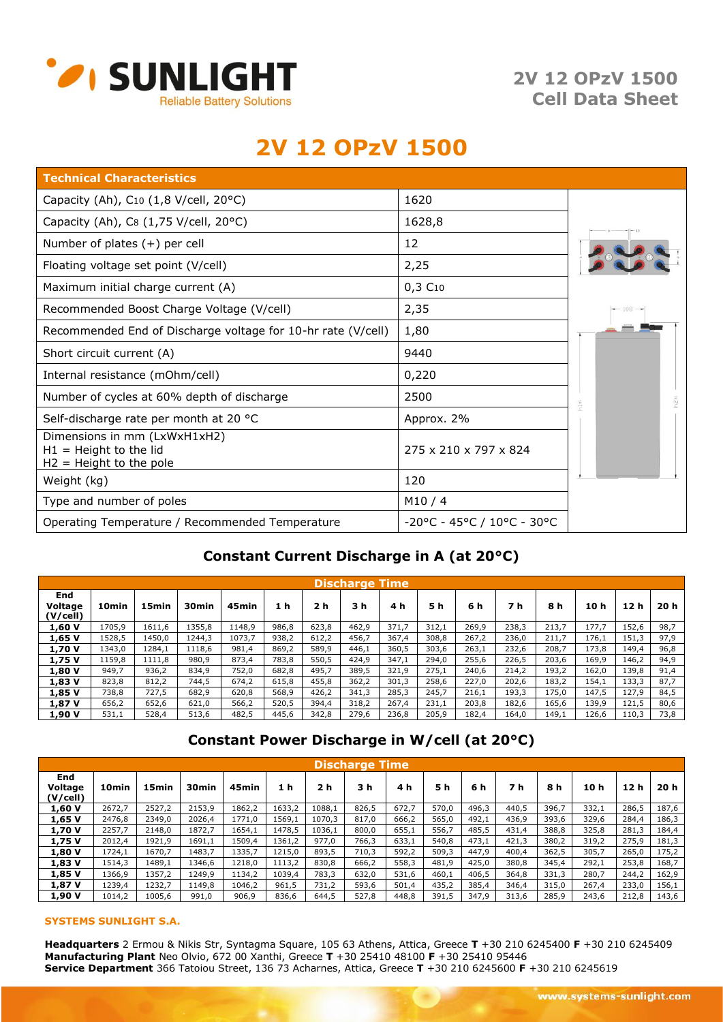

**2V 12 OPzV 1500 Cell Data Sheet**

# **2V 12 OPzV 1500**

| <b>Technical Characteristics</b>                                                      |                            |         |
|---------------------------------------------------------------------------------------|----------------------------|---------|
| Capacity (Ah), $C_{10}$ (1,8 V/cell, 20°C)                                            | 1620                       |         |
| Capacity (Ah), C8 (1,75 V/cell, 20°C)                                                 | 1628,8                     |         |
| Number of plates $(+)$ per cell                                                       | 12                         |         |
| Floating voltage set point (V/cell)                                                   | 2,25                       |         |
| Maximum initial charge current (A)                                                    | 0,3C10                     |         |
| Recommended Boost Charge Voltage (V/cell)                                             | 2,35                       | $-108-$ |
| Recommended End of Discharge voltage for 10-hr rate (V/cell)                          | 1,80                       |         |
| Short circuit current (A)                                                             | 9440                       |         |
| Internal resistance (mOhm/cell)                                                       | 0,220                      |         |
| Number of cycles at 60% depth of discharge                                            | 2500                       | 얺       |
| Self-discharge rate per month at 20 °C                                                | Approx. 2%                 |         |
| Dimensions in mm (LxWxH1xH2)<br>$H1 =$ Height to the lid<br>$H2 =$ Height to the pole | 275 x 210 x 797 x 824      |         |
| Weight (kg)                                                                           | 120                        |         |
| Type and number of poles                                                              | M10/4                      |         |
| Operating Temperature / Recommended Temperature                                       | -20°C - 45°C / 10°C - 30°C |         |

## **Constant Current Discharge in A (at 20°C)**

| <b>Discharge Time</b>      |                   |        |                   |        |       |                |       |       |       |       |       |       |       |       |      |
|----------------------------|-------------------|--------|-------------------|--------|-------|----------------|-------|-------|-------|-------|-------|-------|-------|-------|------|
| End<br>Voltage<br>(V/cell) | 10 <sub>min</sub> | 15min  | 30 <sub>min</sub> | 45min  | 1 h   | 2 <sub>h</sub> | 3 h   | 4 h   | 5 h   | 6 h   | 7 h   | 8 h   | 10 h  | 12 h  | 20 h |
| 1,60 V                     | 1705,9            | 1611,6 | 1355,8            | 1148,9 | 986,8 | 623,8          | 462,9 | 371,7 | 312,1 | 269,9 | 238,3 | 213,7 | 177,7 | 152,6 | 98,7 |
| 1,65 V                     | 1528,5            | 1450,0 | 1244.3            | 1073,7 | 938,2 | 612,2          | 456,7 | 367,4 | 308,8 | 267,2 | 236,0 | 211,7 | 176,1 | 151,3 | 97,9 |
| 1,70 V                     | 1343,0            | 1284,1 | 1118,6            | 981,4  | 869,2 | 589,9          | 446,1 | 360,5 | 303,6 | 263,1 | 232,6 | 208,7 | 173,8 | 149,4 | 96,8 |
| 1,75 V                     | 1159,8            | 1111,8 | 980,9             | 873,4  | 783,8 | 550,5          | 424,9 | 347,1 | 294,0 | 255,6 | 226,5 | 203,6 | 169,9 | 146,2 | 94,9 |
| 1,80 V                     | 949,7             | 936,2  | 834,9             | 752,0  | 682,8 | 495,7          | 389,5 | 321,9 | 275,1 | 240,6 | 214,2 | 193,2 | 162,0 | 139,8 | 91,4 |
| 1,83 V                     | 823,8             | 812,2  | 744.5             | 674,2  | 615,8 | 455,8          | 362,2 | 301,3 | 258,6 | 227.0 | 202,6 | 183,2 | 154,1 | 133,3 | 87,7 |
| 1,85 V                     | 738,8             | 727,5  | 682,9             | 620,8  | 568,9 | 426,2          | 341,3 | 285,3 | 245,7 | 216,1 | 193,3 | 175,0 | 147,5 | 127,9 | 84,5 |
| 1,87 V                     | 656,2             | 652,6  | 621,0             | 566,2  | 520,5 | 394,4          | 318,2 | 267,4 | 231,1 | 203,8 | 182,6 | 165,6 | 139,9 | 121,5 | 80,6 |
| 1,90 V                     | 531,1             | 528,4  | 513,6             | 482,5  | 445,6 | 342,8          | 279,6 | 236,8 | 205,9 | 182,4 | 164,0 | 149,1 | 126,6 | 110,3 | 73,8 |

### **Constant Power Discharge in W/cell (at 20°C)**

| <b>Discharge Time</b>             |                   |                   |        |        |        |        |       |       |       |       |       |       |       |                 |       |
|-----------------------------------|-------------------|-------------------|--------|--------|--------|--------|-------|-------|-------|-------|-------|-------|-------|-----------------|-------|
| <b>End</b><br>Voltage<br>(V/cell) | 10 <sub>min</sub> | 15 <sub>min</sub> | 30min  | 45min  | 1 h    | 2 հ    | 3 h   | 4 h   | 5 h   | 6 h   | 7 h   | 8 h   | 10 h  | 12 <sub>h</sub> | 20 h  |
| 1,60 V                            | 2672.7            | 2527.2            | 2153.9 | 1862.2 | 1633,2 | 1088.1 | 826,5 | 672,7 | 570,0 | 496,3 | 440.5 | 396,7 | 332,1 | 286,5           | 187,6 |
| 1,65 V                            | 2476,8            | 2349,0            | 2026,4 | 1771,0 | 1569,1 | 1070,3 | 817,0 | 666,2 | 565,0 | 492,1 | 436,9 | 393,6 | 329,6 | 284,4           | 186,3 |
| 1,70 V                            | 2257,7            | 2148.0            | 1872.7 | 1654,1 | 1478.5 | 1036,1 | 800,0 | 655,1 | 556,7 | 485,5 | 431,4 | 388,8 | 325,8 | 281,3           | 184,4 |
| 1,75 V                            | 2012,4            | 1921,9            | 1691,1 | 1509,4 | 1361,2 | 977,0  | 766,3 | 633,1 | 540,8 | 473,1 | 421,3 | 380,2 | 319,2 | 275,9           | 181,3 |
| 1,80 V                            | 1724,1            | 1670.7            | 1483,7 | 1335,7 | 1215,0 | 893,5  | 710,3 | 592,2 | 509,3 | 447,9 | 400,4 | 362,5 | 305,7 | 265,0           | 175,2 |
| 1,83 V                            | 1514,3            | 1489,1            | 1346,6 | 1218.0 | 1113,2 | 830,8  | 666,2 | 558,3 | 481,9 | 425,0 | 380,8 | 345,4 | 292,1 | 253,8           | 168,7 |
| 1,85 V                            | 1366,9            | 1357,2            | 1249,9 | 1134,2 | 1039,4 | 783,3  | 632,0 | 531,6 | 460,1 | 406,5 | 364,8 | 331,3 | 280,7 | 244,2           | 162,9 |
| 1,87 V                            | 1239,4            | 1232,7            | 1149,8 | 1046,2 | 961,5  | 731,2  | 593,6 | 501,4 | 435,2 | 385,4 | 346,4 | 315,0 | 267,4 | 233,0           | 156,1 |
| 1,90 V                            | 1014.2            | 1005.6            | 991,0  | 906,9  | 836,6  | 644,5  | 527,8 | 448.8 | 391,5 | 347.9 | 313,6 | 285,9 | 243.6 | 212,8           | 143,6 |

#### **SYSTEMS SUNLIGHT S.A.**

**Headquarters** 2 Ermou & Nikis Str, Syntagma Square, 105 63 Athens, Attica, Greece **T** +30 210 6245400 **F** +30 210 6245409 **Manufacturing Plant** Neo Olvio, 672 00 Xanthi, Greece **T** +30 25410 48100 **F** +30 25410 95446 **Service Department** 366 Tatoiou Street, 136 73 Acharnes, Αttica, Greece **T** +30 210 6245600 **F** +30 210 6245619